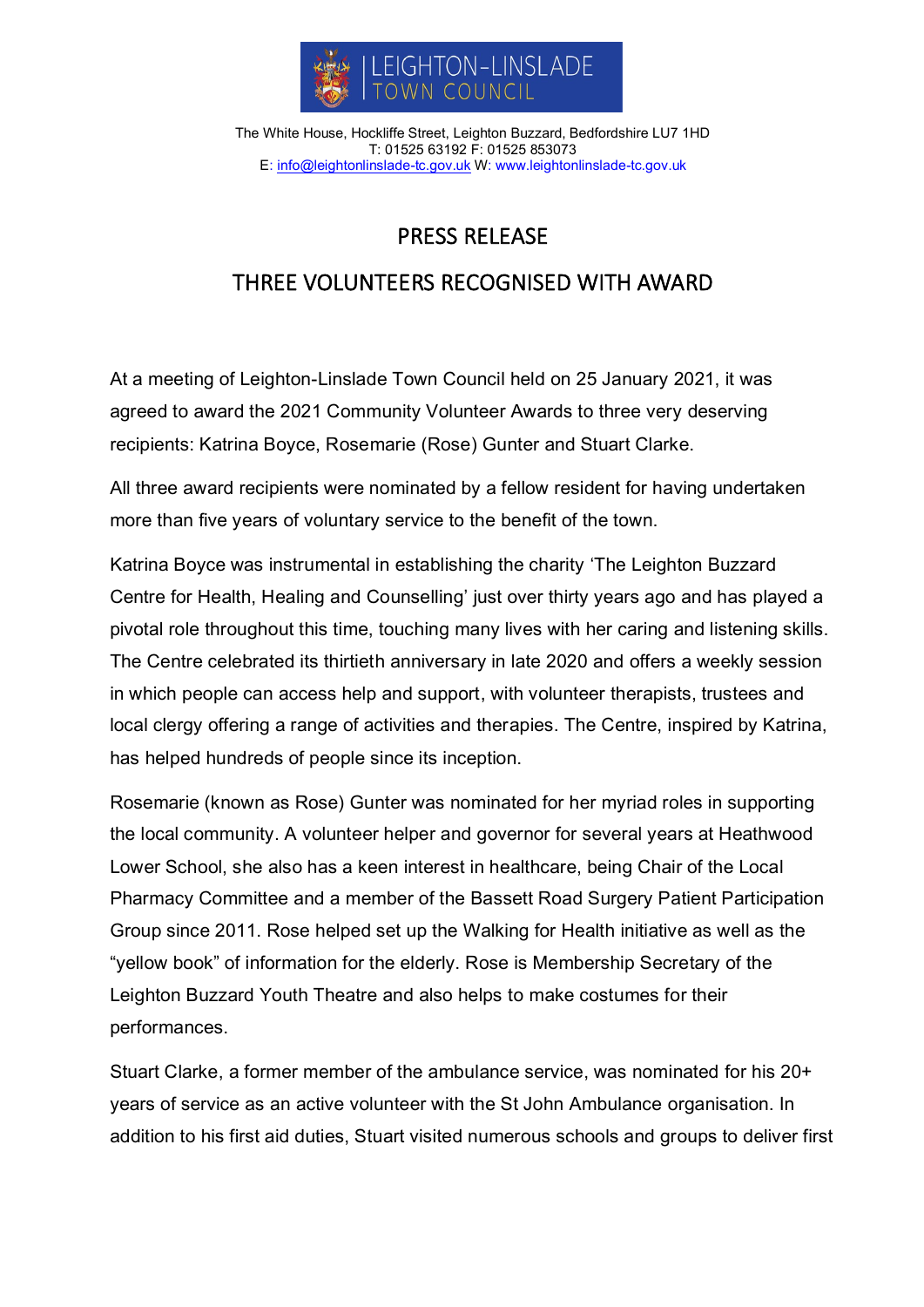

The White House, Hockliffe Street, Leighton Buzzard, Bedfordshire LU7 1HD T: 01525 63192 F: 01525 853073 E[: info@leightonlinslade-tc.gov.uk](mailto:bookings@leightonlinslade-tc.gov.uk) W: [www.leightonlinslade-tc.gov.uk](http://www.leightonlinslade-tc.gov.uk/)

## PRESS RELEASE

## THREE VOLUNTEERS RECOGNISED WITH AWARD

At a meeting of Leighton-Linslade Town Council held on 25 January 2021, it was agreed to award the 2021 Community Volunteer Awards to three very deserving recipients: Katrina Boyce, Rosemarie (Rose) Gunter and Stuart Clarke.

All three award recipients were nominated by a fellow resident for having undertaken more than five years of voluntary service to the benefit of the town.

Katrina Boyce was instrumental in establishing the charity 'The Leighton Buzzard Centre for Health, Healing and Counselling' just over thirty years ago and has played a pivotal role throughout this time, touching many lives with her caring and listening skills. The Centre celebrated its thirtieth anniversary in late 2020 and offers a weekly session in which people can access help and support, with volunteer therapists, trustees and local clergy offering a range of activities and therapies. The Centre, inspired by Katrina, has helped hundreds of people since its inception.

Rosemarie (known as Rose) Gunter was nominated for her myriad roles in supporting the local community. A volunteer helper and governor for several years at Heathwood Lower School, she also has a keen interest in healthcare, being Chair of the Local Pharmacy Committee and a member of the Bassett Road Surgery Patient Participation Group since 2011. Rose helped set up the Walking for Health initiative as well as the "yellow book" of information for the elderly. Rose is Membership Secretary of the Leighton Buzzard Youth Theatre and also helps to make costumes for their performances.

Stuart Clarke, a former member of the ambulance service, was nominated for his 20+ years of service as an active volunteer with the St John Ambulance organisation. In addition to his first aid duties, Stuart visited numerous schools and groups to deliver first